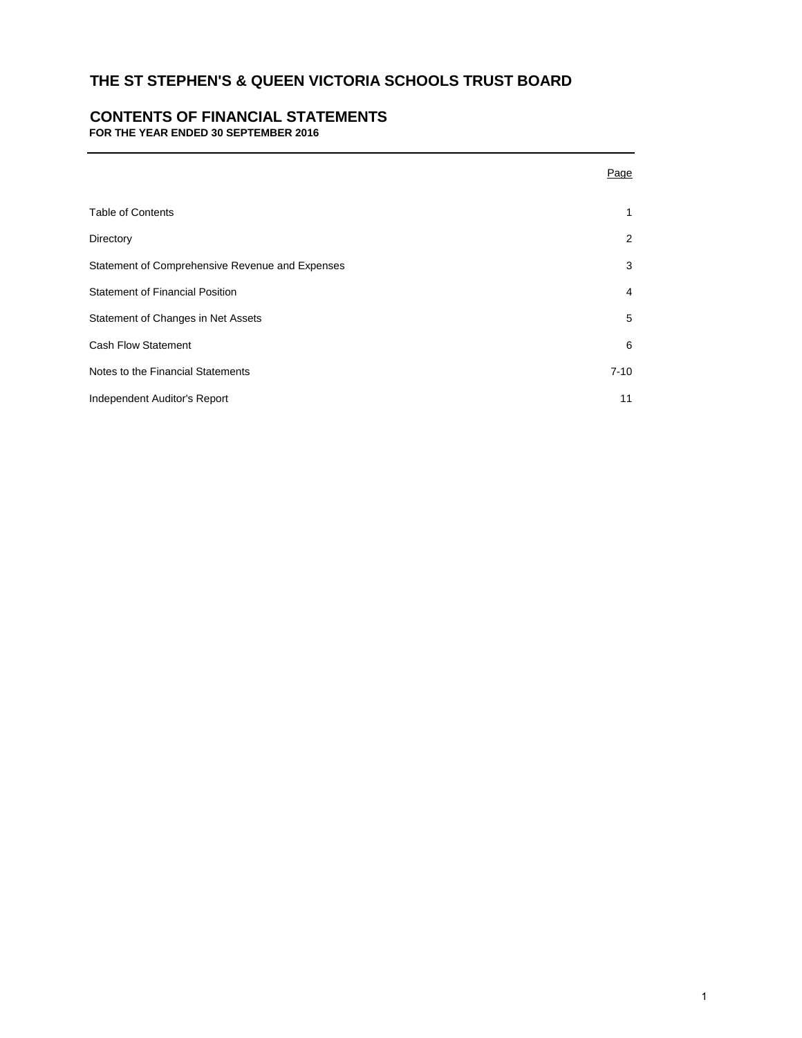# **CONTENTS OF FINANCIAL STATEMENTS**

**FOR THE YEAR ENDED 30 SEPTEMBER 2016**

|                                                 | Page           |
|-------------------------------------------------|----------------|
| <b>Table of Contents</b>                        | $\mathbf{1}$   |
| Directory                                       | 2              |
| Statement of Comprehensive Revenue and Expenses | 3              |
| <b>Statement of Financial Position</b>          | $\overline{4}$ |
| Statement of Changes in Net Assets              | 5              |
| <b>Cash Flow Statement</b>                      | 6              |
| Notes to the Financial Statements               | $7 - 10$       |
| Independent Auditor's Report                    | 11             |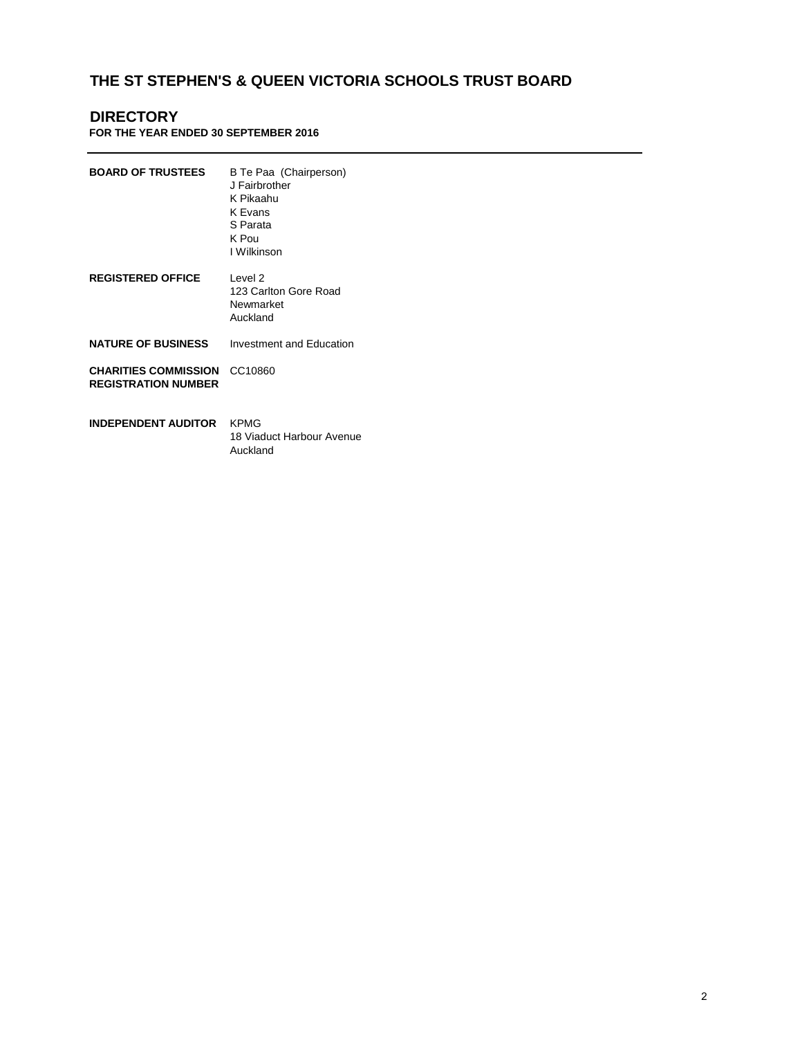# **DIRECTORY**

**FOR THE YEAR ENDED 30 SEPTEMBER 2016**

| <b>BOARD OF TRUSTEES</b>                                  | B Te Paa (Chairperson)<br>J Fairbrother<br>K Pikaahu<br>K Evans<br>S Parata<br>K Pou<br>I Wilkinson |
|-----------------------------------------------------------|-----------------------------------------------------------------------------------------------------|
| <b>REGISTERED OFFICE</b>                                  | Level 2<br>123 Carlton Gore Road<br>Newmarket<br>Auckland                                           |
| <b>NATURE OF BUSINESS</b>                                 | Investment and Education                                                                            |
| <b>CHARITIES COMMISSION</b><br><b>REGISTRATION NUMBER</b> | CC10860                                                                                             |
| <b>INDEPENDENT AUDITOR</b>                                | <b>KPMG</b><br>18 Viaduct Harbour Avenue<br>Auckland                                                |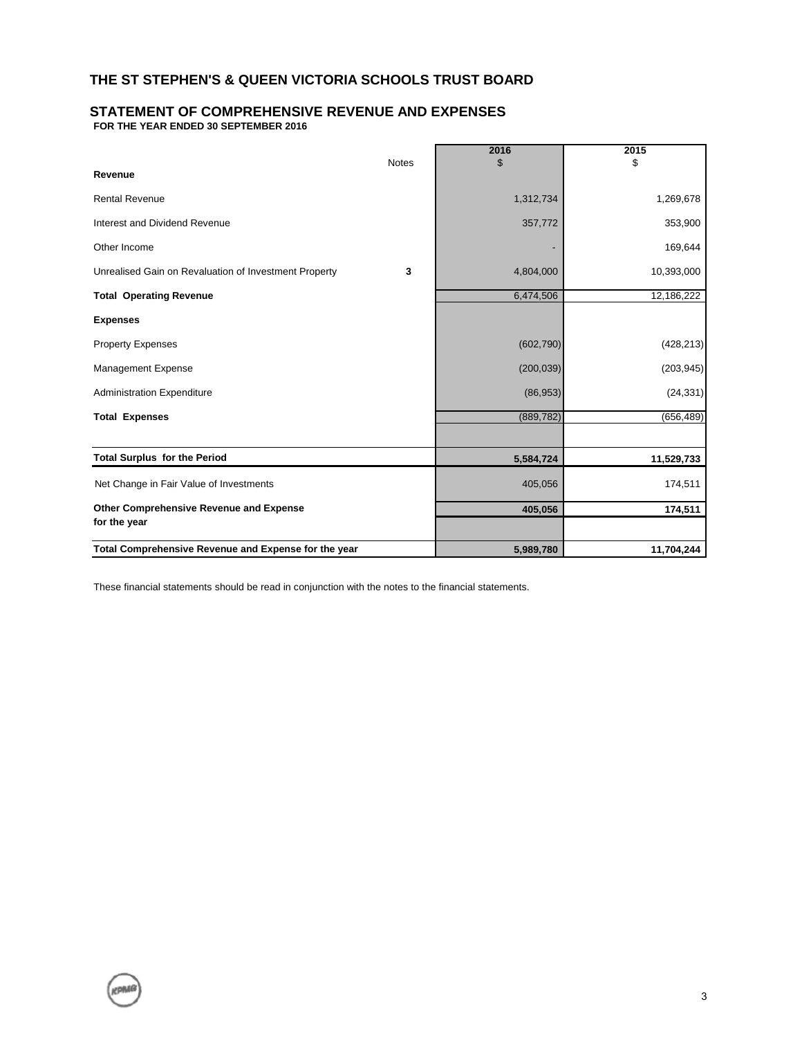#### **STATEMENT OF COMPREHENSIVE REVENUE AND EXPENSES FOR THE YEAR ENDED 30 SEPTEMBER 2016**

|                                                       | <b>Notes</b> | 2016<br>\$ | 2015<br>\$ |
|-------------------------------------------------------|--------------|------------|------------|
| Revenue                                               |              |            |            |
| <b>Rental Revenue</b>                                 |              | 1,312,734  | 1,269,678  |
| Interest and Dividend Revenue                         |              | 357,772    | 353,900    |
| Other Income                                          |              |            | 169,644    |
| Unrealised Gain on Revaluation of Investment Property | 3            | 4,804,000  | 10,393,000 |
| <b>Total Operating Revenue</b>                        |              | 6,474,506  | 12,186,222 |
| <b>Expenses</b>                                       |              |            |            |
| <b>Property Expenses</b>                              |              | (602, 790) | (428, 213) |
| Management Expense                                    |              | (200, 039) | (203, 945) |
| <b>Administration Expenditure</b>                     |              | (86,953)   | (24, 331)  |
| <b>Total Expenses</b>                                 |              | (889, 782) | (656, 489) |
|                                                       |              |            |            |
| <b>Total Surplus for the Period</b>                   |              | 5,584,724  | 11,529,733 |
| Net Change in Fair Value of Investments               |              | 405,056    | 174,511    |
| Other Comprehensive Revenue and Expense               |              | 405,056    | 174,511    |
| for the year                                          |              |            |            |
| Total Comprehensive Revenue and Expense for the year  |              | 5,989,780  | 11,704,244 |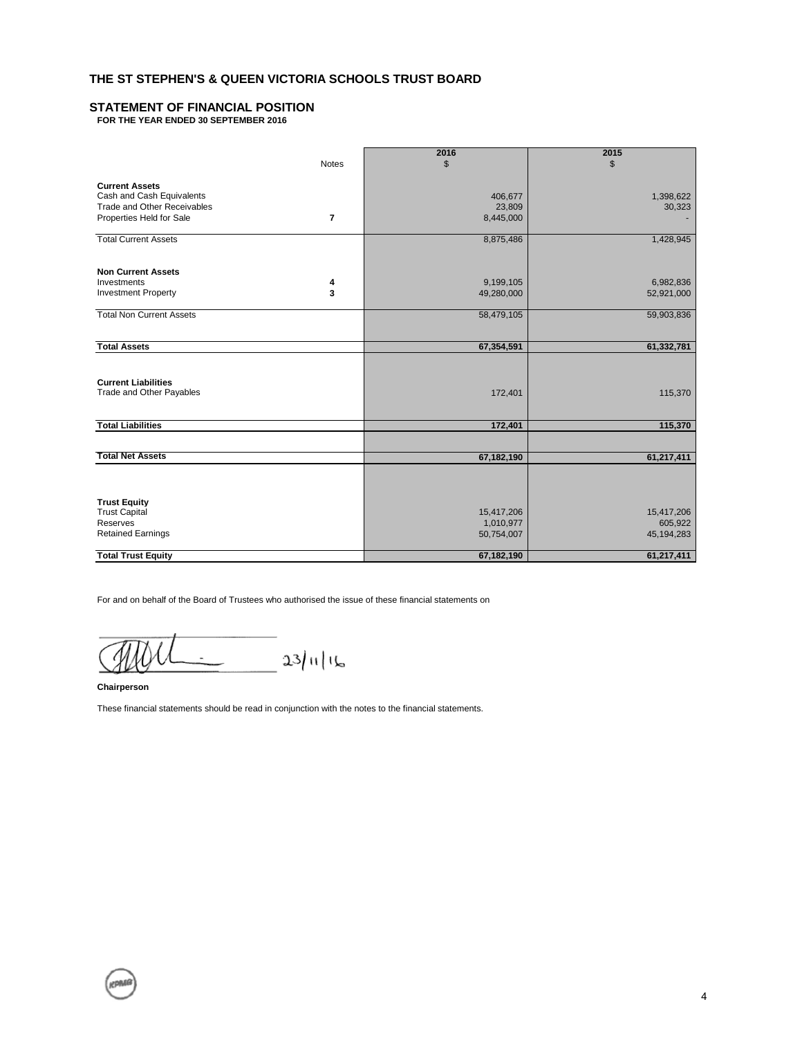## **STATEMENT OF FINANCIAL POSITION**

**FOR THE YEAR ENDED 30 SEPTEMBER 2016**

|                                    |                | 2016           | 2015         |
|------------------------------------|----------------|----------------|--------------|
|                                    | <b>Notes</b>   | $\mathfrak{L}$ | \$           |
|                                    |                |                |              |
| <b>Current Assets</b>              |                |                |              |
| Cash and Cash Equivalents          |                | 406,677        | 1,398,622    |
| <b>Trade and Other Receivables</b> |                | 23,809         | 30,323       |
| Properties Held for Sale           | $\overline{7}$ | 8,445,000      |              |
|                                    |                |                |              |
| <b>Total Current Assets</b>        |                | 8,875,486      | 1,428,945    |
| <b>Non Current Assets</b>          |                |                |              |
| Investments                        | 4              | 9,199,105      | 6,982,836    |
| <b>Investment Property</b>         | 3              | 49,280,000     | 52,921,000   |
|                                    |                |                |              |
| <b>Total Non Current Assets</b>    |                | 58,479,105     | 59,903,836   |
|                                    |                |                |              |
| <b>Total Assets</b>                |                | 67,354,591     | 61,332,781   |
|                                    |                |                |              |
|                                    |                |                |              |
| <b>Current Liabilities</b>         |                |                |              |
| Trade and Other Payables           |                | 172,401        | 115,370      |
|                                    |                |                |              |
|                                    |                |                |              |
| <b>Total Liabilities</b>           |                | 172,401        | 115,370      |
|                                    |                |                |              |
| <b>Total Net Assets</b>            |                | 67,182,190     | 61,217,411   |
|                                    |                |                |              |
|                                    |                |                |              |
|                                    |                |                |              |
| <b>Trust Equity</b>                |                |                |              |
| <b>Trust Capital</b>               |                | 15,417,206     | 15,417,206   |
| Reserves                           |                | 1,010,977      | 605,922      |
| <b>Retained Earnings</b>           |                | 50,754,007     | 45, 194, 283 |
| <b>Total Trust Equity</b>          |                | 67,182,190     | 61,217,411   |

For and on behalf of the Board of Trustees who authorised the issue of these financial statements on

 $23/11/16$ 

**Chairperson**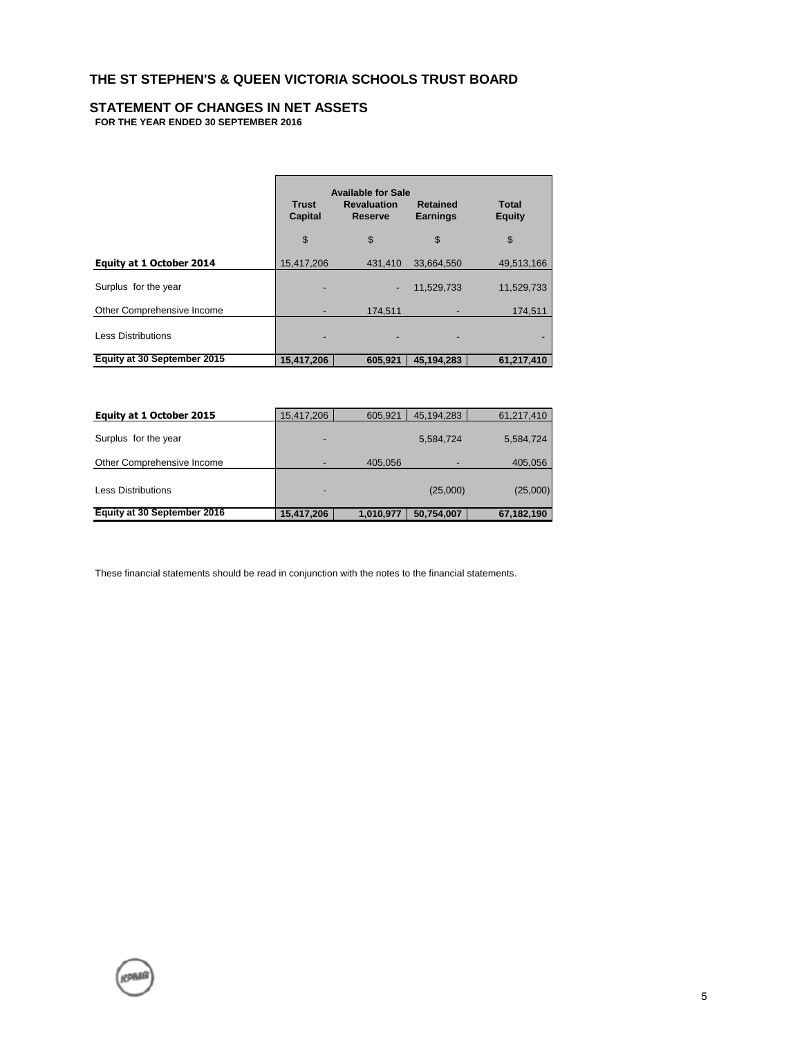# **STATEMENT OF CHANGES IN NET ASSETS**

**FOR THE YEAR ENDED 30 SEPTEMBER 2016**

|                                 | Trust<br>Capital | <b>Available for Sale</b><br><b>Revaluation</b><br>Reserve | <b>Retained</b><br><b>Earnings</b> | Total<br><b>Equity</b> |
|---------------------------------|------------------|------------------------------------------------------------|------------------------------------|------------------------|
|                                 | \$               | \$                                                         | \$                                 | \$                     |
| <b>Equity at 1 October 2014</b> | 15,417,206       | 431,410                                                    | 33,664,550                         | 49,513,166             |
| Surplus for the year            |                  | -                                                          | 11,529,733                         | 11,529,733             |
| Other Comprehensive Income      |                  | 174.511                                                    |                                    | 174,511                |
| <b>Less Distributions</b>       |                  |                                                            |                                    |                        |
| Equity at 30 September 2015     | 15,417,206       | 605.921                                                    | 45.194.283                         | 61,217,410             |

| Equity at 1 October 2015    | 15,417,206 | 605.921   | 45,194,283 | 61,217,410 |
|-----------------------------|------------|-----------|------------|------------|
| Surplus for the year        | ٠          |           | 5,584,724  | 5,584,724  |
| Other Comprehensive Income  |            | 405.056   |            | 405,056    |
| <b>Less Distributions</b>   |            |           | (25,000)   | (25,000)   |
| Equity at 30 September 2016 | 15,417,206 | 1,010,977 | 50,754,007 | 67,182,190 |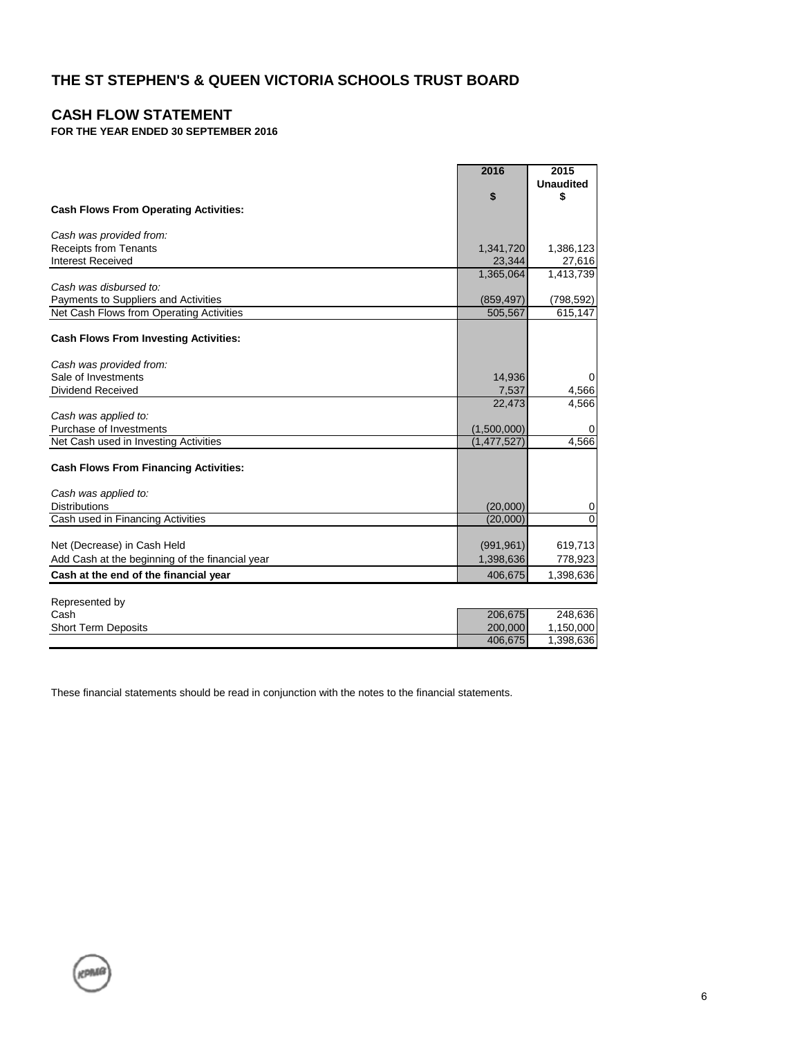# **CASH FLOW STATEMENT**

KPMG

# **FOR THE YEAR ENDED 30 SEPTEMBER 2016**

|                                                 | 2016          | 2015             |
|-------------------------------------------------|---------------|------------------|
|                                                 |               | <b>Unaudited</b> |
|                                                 | \$            | \$               |
| <b>Cash Flows From Operating Activities:</b>    |               |                  |
|                                                 |               |                  |
| Cash was provided from:                         |               |                  |
| <b>Receipts from Tenants</b>                    | 1,341,720     | 1,386,123        |
| <b>Interest Received</b>                        | 23,344        | 27,616           |
| Cash was disbursed to:                          | 1,365,064     | 1,413,739        |
| Payments to Suppliers and Activities            | (859, 497)    | (798, 592)       |
| Net Cash Flows from Operating Activities        | 505,567       | 615,147          |
|                                                 |               |                  |
| <b>Cash Flows From Investing Activities:</b>    |               |                  |
| Cash was provided from:                         |               |                  |
| Sale of Investments                             | 14,936        | $\Omega$         |
| <b>Dividend Received</b>                        | 7,537         | 4,566            |
|                                                 | 22,473        | 4,566            |
| Cash was applied to:                            |               |                  |
| Purchase of Investments                         | (1,500,000)   | 0                |
| Net Cash used in Investing Activities           | (1, 477, 527) | 4,566            |
|                                                 |               |                  |
| <b>Cash Flows From Financing Activities:</b>    |               |                  |
| Cash was applied to:                            |               |                  |
| <b>Distributions</b>                            | (20,000)      | 0                |
| Cash used in Financing Activities               | (20,000)      | $\mathbf 0$      |
|                                                 |               |                  |
| Net (Decrease) in Cash Held                     | (991, 961)    | 619,713          |
| Add Cash at the beginning of the financial year | 1,398,636     | 778,923          |
| Cash at the end of the financial year           | 406,675       | 1,398,636        |
|                                                 |               |                  |
| Represented by                                  |               |                  |
| Cash                                            | 206,675       | 248,636          |
| <b>Short Term Deposits</b>                      | 200,000       | 1,150,000        |
|                                                 | 406,675       | 1,398,636        |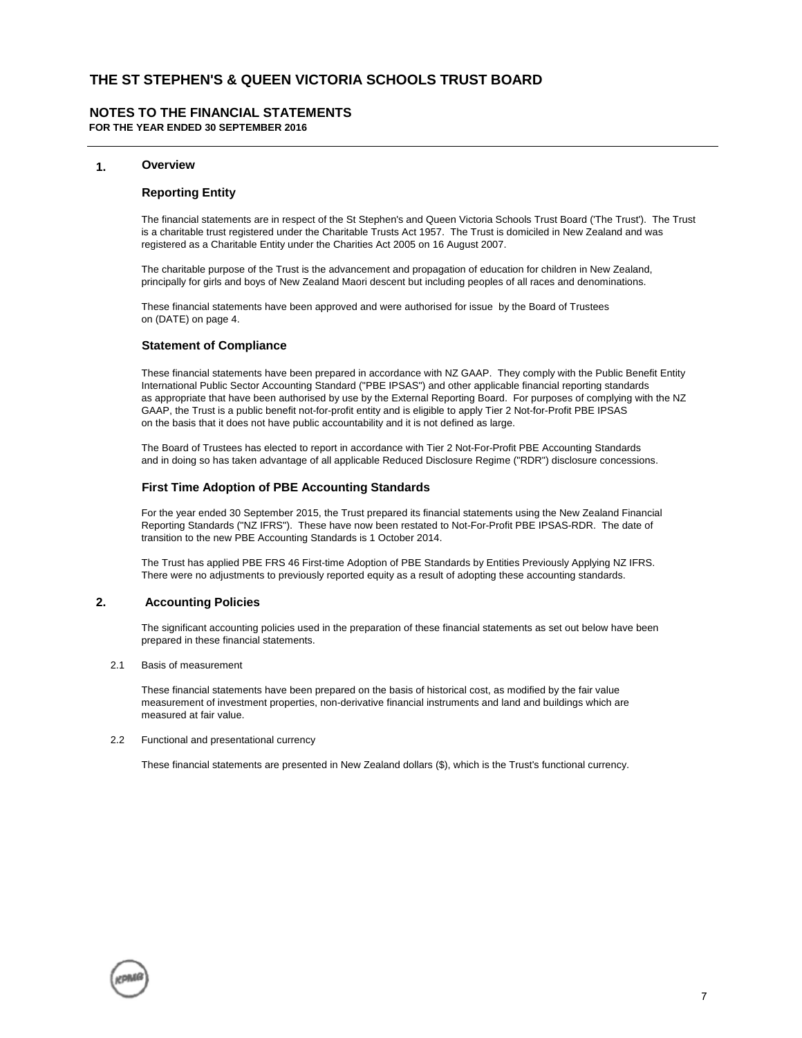## **NOTES TO THE FINANCIAL STATEMENTS**

**FOR THE YEAR ENDED 30 SEPTEMBER 2016**

### **1. Overview**

### **Reporting Entity**

The financial statements are in respect of the St Stephen's and Queen Victoria Schools Trust Board ('The Trust'). The Trust is a charitable trust registered under the Charitable Trusts Act 1957. The Trust is domiciled in New Zealand and was registered as a Charitable Entity under the Charities Act 2005 on 16 August 2007.

The charitable purpose of the Trust is the advancement and propagation of education for children in New Zealand, principally for girls and boys of New Zealand Maori descent but including peoples of all races and denominations.

These financial statements have been approved and were authorised for issue by the Board of Trustees on (DATE) on page 4.

#### **Statement of Compliance**

These financial statements have been prepared in accordance with NZ GAAP. They comply with the Public Benefit Entity International Public Sector Accounting Standard ("PBE IPSAS") and other applicable financial reporting standards as appropriate that have been authorised by use by the External Reporting Board. For purposes of complying with the NZ GAAP, the Trust is a public benefit not-for-profit entity and is eligible to apply Tier 2 Not-for-Profit PBE IPSAS on the basis that it does not have public accountability and it is not defined as large.

The Board of Trustees has elected to report in accordance with Tier 2 Not-For-Profit PBE Accounting Standards and in doing so has taken advantage of all applicable Reduced Disclosure Regime ("RDR") disclosure concessions.

## **First Time Adoption of PBE Accounting Standards**

For the year ended 30 September 2015, the Trust prepared its financial statements using the New Zealand Financial Reporting Standards ("NZ IFRS"). These have now been restated to Not-For-Profit PBE IPSAS-RDR. The date of transition to the new PBE Accounting Standards is 1 October 2014.

The Trust has applied PBE FRS 46 First-time Adoption of PBE Standards by Entities Previously Applying NZ IFRS. There were no adjustments to previously reported equity as a result of adopting these accounting standards.

## **2. Accounting Policies**

The significant accounting policies used in the preparation of these financial statements as set out below have been prepared in these financial statements.

2.1 Basis of measurement

These financial statements have been prepared on the basis of historical cost, as modified by the fair value measurement of investment properties, non-derivative financial instruments and land and buildings which are measured at fair value.

#### 2.2 Functional and presentational currency

These financial statements are presented in New Zealand dollars (\$), which is the Trust's functional currency.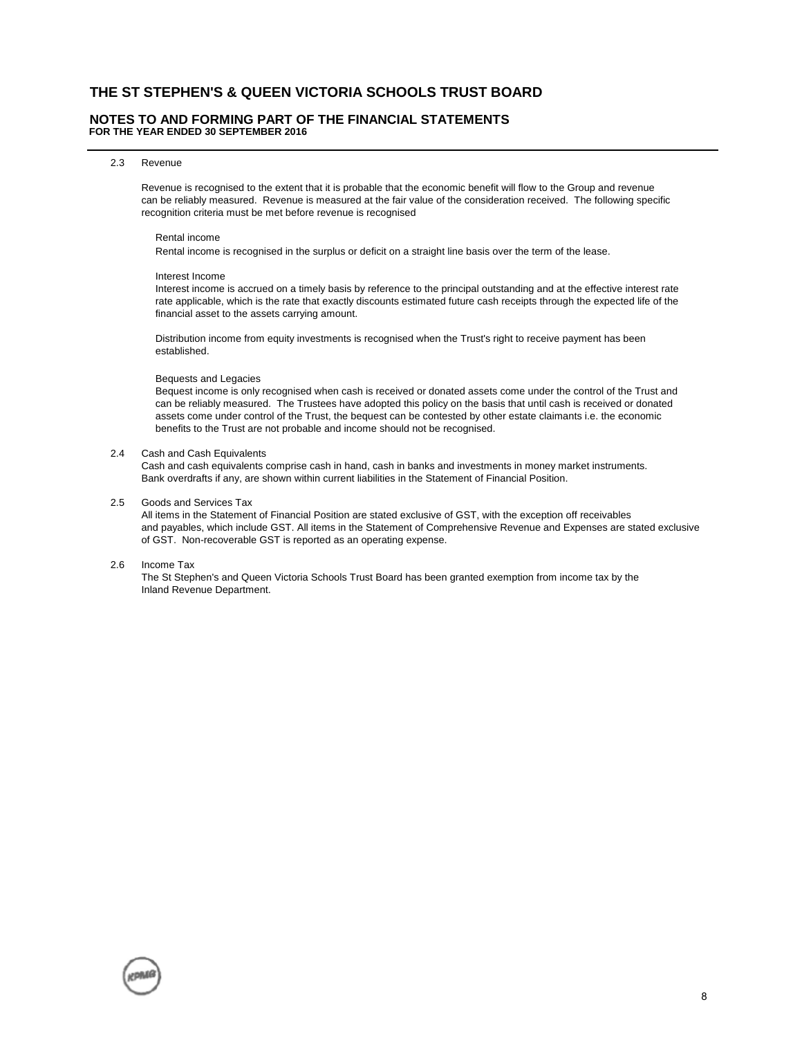#### **NOTES TO AND FORMING PART OF THE FINANCIAL STATEMENTS FOR THE YEAR ENDED 30 SEPTEMBER 2016**

#### 2.3 Revenue

Revenue is recognised to the extent that it is probable that the economic benefit will flow to the Group and revenue can be reliably measured. Revenue is measured at the fair value of the consideration received. The following specific recognition criteria must be met before revenue is recognised

#### Rental income

Rental income is recognised in the surplus or deficit on a straight line basis over the term of the lease.

#### Interest Income

 Interest income is accrued on a timely basis by reference to the principal outstanding and at the effective interest rate rate applicable, which is the rate that exactly discounts estimated future cash receipts through the expected life of the financial asset to the assets carrying amount.

 Distribution income from equity investments is recognised when the Trust's right to receive payment has been established.

#### Bequests and Legacies

 Bequest income is only recognised when cash is received or donated assets come under the control of the Trust and can be reliably measured. The Trustees have adopted this policy on the basis that until cash is received or donated assets come under control of the Trust, the bequest can be contested by other estate claimants i.e. the economic benefits to the Trust are not probable and income should not be recognised.

#### 2.4 Cash and Cash Equivalents

Cash and cash equivalents comprise cash in hand, cash in banks and investments in money market instruments. Bank overdrafts if any, are shown within current liabilities in the Statement of Financial Position.

#### 2.5 Goods and Services Tax

All items in the Statement of Financial Position are stated exclusive of GST, with the exception off receivables and payables, which include GST. All items in the Statement of Comprehensive Revenue and Expenses are stated exclusive of GST. Non-recoverable GST is reported as an operating expense.

#### 2.6 Income Tax

The St Stephen's and Queen Victoria Schools Trust Board has been granted exemption from income tax by the Inland Revenue Department.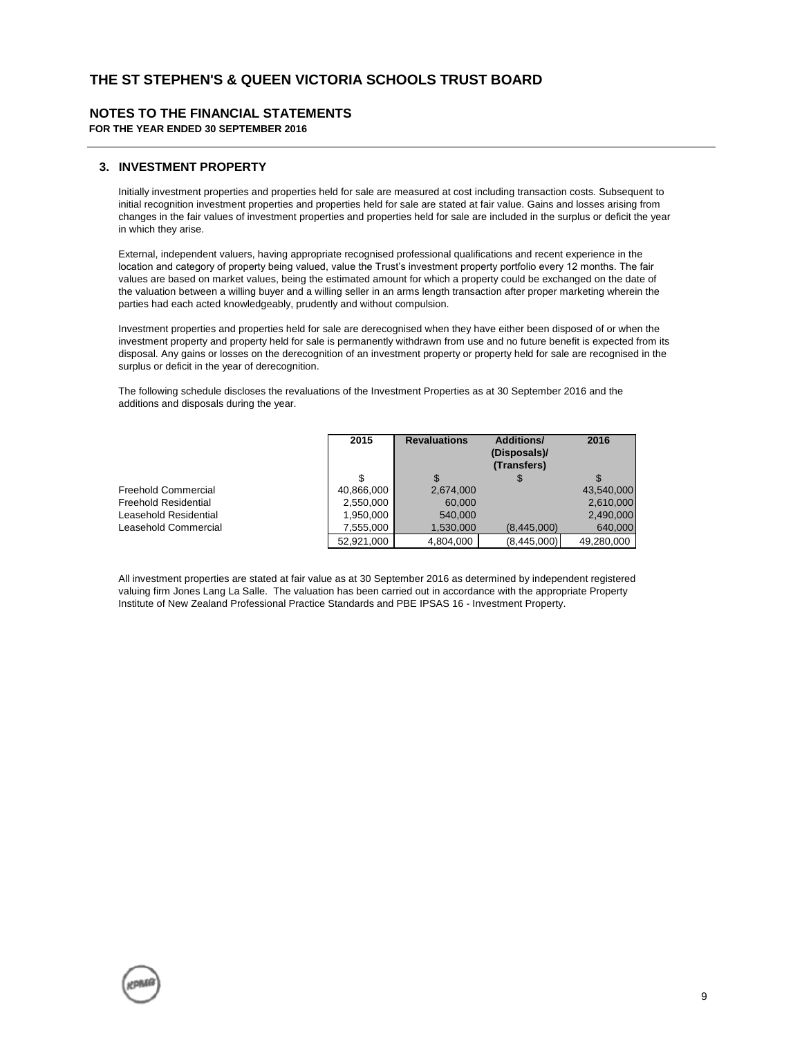## **NOTES TO THE FINANCIAL STATEMENTS**

**FOR THE YEAR ENDED 30 SEPTEMBER 2016**

## **3. INVESTMENT PROPERTY**

Initially investment properties and properties held for sale are measured at cost including transaction costs. Subsequent to initial recognition investment properties and properties held for sale are stated at fair value. Gains and losses arising from changes in the fair values of investment properties and properties held for sale are included in the surplus or deficit the year in which they arise.

External, independent valuers, having appropriate recognised professional qualifications and recent experience in the location and category of property being valued, value the Trust's investment property portfolio every 12 months. The fair values are based on market values, being the estimated amount for which a property could be exchanged on the date of the valuation between a willing buyer and a willing seller in an arms length transaction after proper marketing wherein the parties had each acted knowledgeably, prudently and without compulsion.

Investment properties and properties held for sale are derecognised when they have either been disposed of or when the investment property and property held for sale is permanently withdrawn from use and no future benefit is expected from its disposal. Any gains or losses on the derecognition of an investment property or property held for sale are recognised in the surplus or deficit in the year of derecognition.

The following schedule discloses the revaluations of the Investment Properties as at 30 September 2016 and the additions and disposals during the year.

|                             | 2015       | <b>Revaluations</b> | <b>Additions/</b><br>(Disposals)/<br>(Transfers) | 2016       |
|-----------------------------|------------|---------------------|--------------------------------------------------|------------|
|                             | \$         | \$.                 |                                                  |            |
| <b>Freehold Commercial</b>  | 40,866,000 | 2,674,000           |                                                  | 43,540,000 |
| <b>Freehold Residential</b> | 2,550,000  | 60,000              |                                                  | 2,610,000  |
| Leasehold Residential       | 1.950.000  | 540,000             |                                                  | 2,490,000  |
| Leasehold Commercial        | 7.555.000  | 1.530.000           | (8.445.000)                                      | 640,000    |
|                             | 52.921.000 | 4,804,000           | (8,445,000)                                      | 49,280,000 |

All investment properties are stated at fair value as at 30 September 2016 as determined by independent registered valuing firm Jones Lang La Salle. The valuation has been carried out in accordance with the appropriate Property Institute of New Zealand Professional Practice Standards and PBE IPSAS 16 - Investment Property.